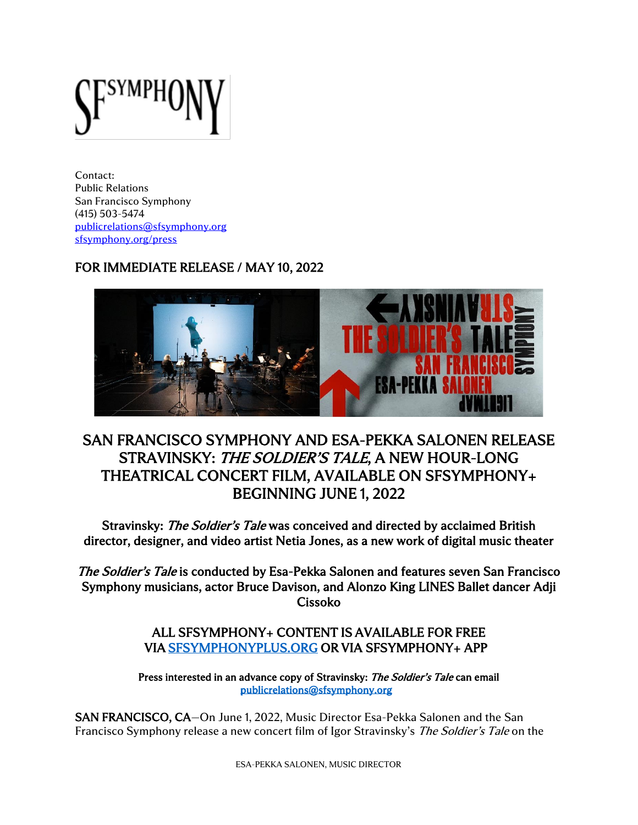Contact: Public Relations San Francisco Symphony (415) 503-5474 [publicrelations@sfsymphony.org](mailto:publicrelations@sfsymphony.org) [sfsymphony.org/press](http://sfsymphony.org/press)

## FOR IMMEDIATE RELEASE / MAY 10, 2022



# SAN FRANCISCO SYMPHONY AND ESA-PEKKA SALONEN RELEASE STRAVINSKY: THE SOLDIER'S TALE, A NEW HOUR-LONG THEATRICAL CONCERT FILM, AVAILABLE ON SFSYMPHONY+ BEGINNING JUNE 1, 2022

Stravinsky: The Soldier's Tale was conceived and directed by acclaimed British director, designer, and video artist Netia Jones, as a new work of digital music theater

The Soldier's Tale is conducted by Esa-Pekka Salonen and features seven San Francisco Symphony musicians, actor Bruce Davison, and Alonzo King LINES Ballet dancer Adji Cissoko

## ALL SFSYMPHONY+ CONTENT IS AVAILABLE FOR FREE VIA [SFSYMPHONYPLUS.ORG](http://www.sfsymphonyplus.org/) OR VIA SFSYMPHONY+ APP

Press interested in an advance copy of Stravinsky: The Soldier's Tale can email [publicrelations@sfsymphony.org](mailto:publicrelations@sfsymphony.org) 

SAN FRANCISCO, CA—On June 1, 2022, Music Director Esa-Pekka Salonen and the San Francisco Symphony release a new concert film of Igor Stravinsky's *The Soldier's Tale* on the

ESA-PEKKA SALONEN, MUSIC DIRECTOR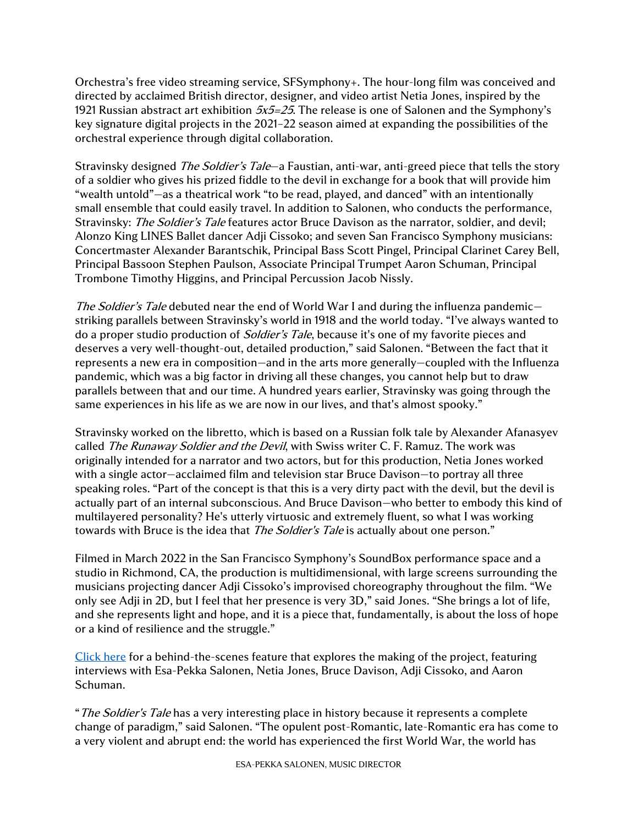Orchestra's free video streaming service, SFSymphony+. The hour-long film was conceived and directed by acclaimed British director, designer, and video artist Netia Jones, inspired by the 1921 Russian abstract art exhibition  $5x5=25$ . The release is one of Salonen and the Symphony's key signature digital projects in the 2021–22 season aimed at expanding the possibilities of the orchestral experience through digital collaboration.

Stravinsky designed *The Soldier's Tale*—a Faustian, anti-war, anti-greed piece that tells the story of a soldier who gives his prized fiddle to the devil in exchange for a book that will provide him "wealth untold"—as a theatrical work "to be read, played, and danced" with an intentionally small ensemble that could easily travel. In addition to Salonen, who conducts the performance, Stravinsky: *The Soldier's Tale* features actor Bruce Davison as the narrator, soldier, and devil; Alonzo King LINES Ballet dancer Adji Cissoko; and seven San Francisco Symphony musicians: Concertmaster Alexander Barantschik, Principal Bass Scott Pingel, Principal Clarinet Carey Bell, Principal Bassoon Stephen Paulson, Associate Principal Trumpet Aaron Schuman, Principal Trombone Timothy Higgins, and Principal Percussion Jacob Nissly.

The Soldier's Tale debuted near the end of World War I and during the influenza pandemicstriking parallels between Stravinsky's world in 1918 and the world today. "I've always wanted to do a proper studio production of *Soldier's Tale*, because it's one of my favorite pieces and deserves a very well-thought-out, detailed production," said Salonen. "Between the fact that it represents a new era in composition—and in the arts more generally—coupled with the Influenza pandemic, which was a big factor in driving all these changes, you cannot help but to draw parallels between that and our time. A hundred years earlier, Stravinsky was going through the same experiences in his life as we are now in our lives, and that's almost spooky."

Stravinsky worked on the libretto, which is based on a Russian folk tale by Alexander Afanasyev called The Runaway Soldier and the Devil, with Swiss writer C. F. Ramuz. The work was originally intended for a narrator and two actors, but for this production, Netia Jones worked with a single actor—acclaimed film and television star Bruce Davison—to portray all three speaking roles. "Part of the concept is that this is a very dirty pact with the devil, but the devil is actually part of an internal subconscious. And Bruce Davison—who better to embody this kind of multilayered personality? He's utterly virtuosic and extremely fluent, so what I was working towards with Bruce is the idea that *The Soldier's Tale* is actually about one person."

Filmed in March 2022 in the San Francisco Symphony's SoundBox performance space and a studio in Richmond, CA, the production is multidimensional, with large screens surrounding the musicians projecting dancer Adji Cissoko's improvised choreography throughout the film. "We only see Adji in 2D, but I feel that her presence is very 3D," said Jones. "She brings a lot of life, and she represents light and hope, and it is a piece that, fundamentally, is about the loss of hope or a kind of resilience and the struggle."

[Click here](https://youtu.be/_4wiMcrRJSE) for a behind-the-scenes feature that explores the making of the project, featuring interviews with Esa-Pekka Salonen, Netia Jones, Bruce Davison, Adji Cissoko, and Aaron Schuman.

"The Soldier's Tale has a very interesting place in history because it represents a complete change of paradigm," said Salonen. "The opulent post-Romantic, late-Romantic era has come to a very violent and abrupt end: the world has experienced the first World War, the world has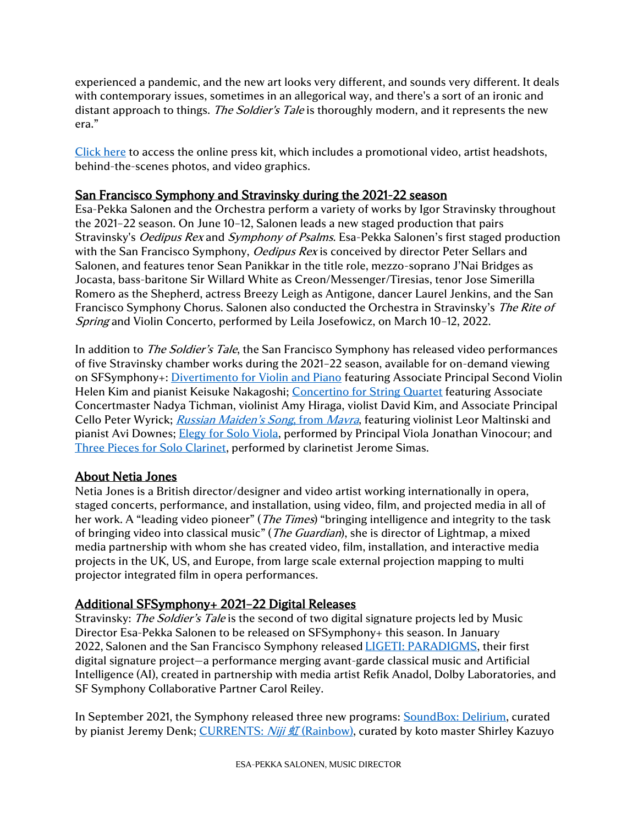experienced a pandemic, and the new art looks very different, and sounds very different. It deals with contemporary issues, sometimes in an allegorical way, and there's a sort of an ironic and distant approach to things. *The Soldier's Tale* is thoroughly modern, and it represents the new era."

[Click here](https://www.sfsymphony.org/About-SFS/Press-Room/Press-Kits/Stravinsky-Soldiers-Tale) to access the online press kit, which includes a promotional video, artist headshots, behind-the-scenes photos, and video graphics.

### San Francisco Symphony and Stravinsky during the 2021-22 season

Esa-Pekka Salonen and the Orchestra perform a variety of works by Igor Stravinsky throughout the 2021–22 season. On June 10–12, Salonen leads a new staged production that pairs Stravinsky's *Oedipus Rex* and *Symphony of Psalms*. Esa-Pekka Salonen's first staged production with the San Francisco Symphony, Oedipus Rex is conceived by director Peter Sellars and Salonen, and features tenor Sean Panikkar in the title role, mezzo-soprano J'Nai Bridges as Jocasta, bass-baritone Sir Willard White as Creon/Messenger/Tiresias, tenor Jose Simerilla Romero as the Shepherd, actress Breezy Leigh as Antigone, dancer Laurel Jenkins, and the San Francisco Symphony Chorus. Salonen also conducted the Orchestra in Stravinsky's The Rite of Spring and Violin Concerto, performed by Leila Josefowicz, on March 10–12, 2022.

In addition to *The Soldier's Tale*, the San Francisco Symphony has released video performances of five Stravinsky chamber works during the 2021–22 season, available for on-demand viewing on SFSymphony+: [Divertimento for Violin and Piano](https://www.sfsymphonyplus.org/videos/igor-stravinsky-divertimento-for-violin-and-piano) featuring Associate Principal Second Violin Helen Kim and pianist Keisuke Nakagoshi; [Concertino for](https://www.sfsymphonyplus.org/videos/igor-stravinsky-concertino-for-string-quartet) String Quartet featuring Associate Concertmaster Nadya Tichman, violinist Amy Hiraga, violist David Kim, and Associate Principal Cello Peter Wyrick; [Russian Maiden's Song](https://www.sfsymphonyplus.org/videos/igor-stravinsky-russian-maiden-s-song-from-mavra), from Mayra, featuring violinist Leor Maltinski and pianist Avi Downes[; Elegy for Solo Viola,](https://www.sfsymphonyplus.org/videos/igor-stravinsky-elegy-for-solo-viola) performed by Principal Viola Jonathan Vinocour; and [Three Pieces for Solo Clarinet,](https://www.sfsymphonyplus.org/videos/igor-stravinsky-three-pieces-for-solo-clarinet) performed by clarinetist Jerome Simas.

## About Netia Jones

Netia Jones is a British director/designer and video artist working internationally in opera, staged concerts, performance, and installation, using video, film, and projected media in all of her work. A "leading video pioneer" (*The Times*) "bringing intelligence and integrity to the task of bringing video into classical music" (*The Guardian*), she is director of Lightmap, a mixed media partnership with whom she has created video, film, installation, and interactive media projects in the UK, US, and Europe, from large scale external projection mapping to multi projector integrated film in opera performances.

## Additional SFSymphony+ 2021–22 Digital Releases

Stravinsky: The Soldier's Tale is the second of two digital signature projects led by Music Director Esa-Pekka Salonen to be released on SFSymphony+ this season. In January 2022, Salonen and the San Francisco Symphony released *LIGETI: PARADIGMS*, their first digital signature project—a performance merging avant-garde classical music and Artificial Intelligence (AI), created in partnership with media artist Refik Anadol, Dolby Laboratories, and SF Symphony Collaborative Partner Carol Reiley.

In September 2021, the Symphony released three new programs: [SoundBox: Delirium,](https://www.sfsymphonyplus.org/products/jeremy-denk) curated by pianist Jeremy Denk; [CURRENTS:](https://www.sfsymphonyplus.org/niji-rainbow) *Niji 虹* (Rainbow), curated by koto master Shirley Kazuyo